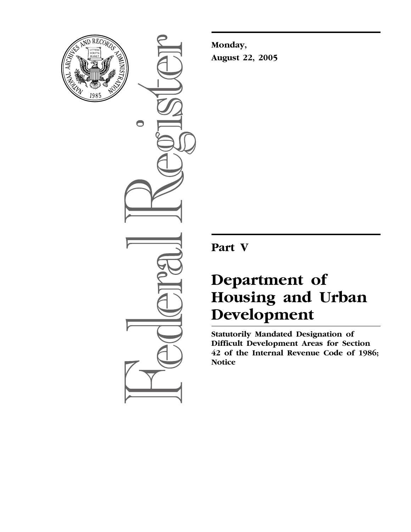

 $\bullet$ 

**Monday, August 22, 2005**

**Part V**

# **Department of Housing and Urban Development**

**Statutorily Mandated Designation of Difficult Development Areas for Section 42 of the Internal Revenue Code of 1986; Notice**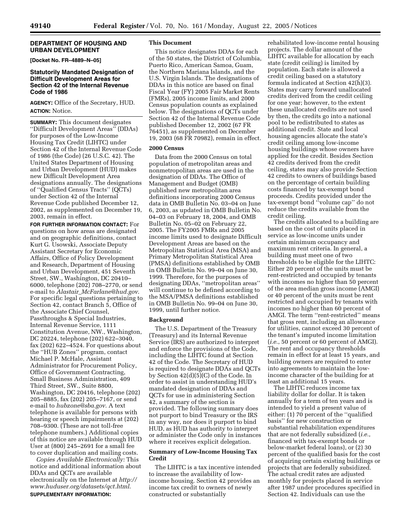## **DEPARTMENT OF HOUSING AND URBAN DEVELOPMENT**

**[Docket No. FR–4889–N–05]** 

## **Statutorily Mandated Designation of Difficult Development Areas for Section 42 of the Internal Revenue Code of 1986**

**AGENCY:** Office of the Secretary, HUD. **ACTION:** Notice.

**SUMMARY:** This document designates ''Difficult Development Areas'' (DDAs) for purposes of the Low-Income Housing Tax Credit (LIHTC) under Section 42 of the Internal Revenue Code of 1986 (the Code) (26 U.S.C. 42). The United States Department of Housing and Urban Development (HUD) makes new Difficult Development Area designations annually. The designations of ''Qualified Census Tracts'' (QCTs) under Section 42 of the Internal Revenue Code published December 12, 2002, as supplemented on December 19, 2003, remain in effect.

**FOR FURTHER INFORMATION CONTACT:** For questions on how areas are designated and on geographic definitions, contact Kurt G. Usowski, Associate Deputy Assistant Secretary for Economic Affairs, Office of Policy Development and Research, Department of Housing and Urban Development, 451 Seventh Street, SW., Washington, DC 20410– 6000, telephone (202) 708–2770, or send e-mail to *Alastair*\_*McFarlane@hud.gov*. For specific legal questions pertaining to Section 42, contact Branch 5, Office of the Associate Chief Counsel, Passthroughs & Special Industries, Internal Revenue Service, 1111 Constitution Avenue, NW., Washington, DC 20224, telephone (202) 622–3040, fax (202) 622–4524. For questions about the ''HUB Zones'' program, contact Michael P. McHale, Assistant Administrator for Procurement Policy, Office of Government Contracting, Small Business Administration, 409 Third Street, SW., Suite 8800, Washington, DC 20416, telephone (202) 205–8885, fax (202) 205–7167, or send e-mail to *hubzone@sba.gov*. A text telephone is available for persons with hearing or speech impairments at (202) 708–9300. (These are not toll-free telephone numbers.) Additional copies of this notice are available through HUD User at (800) 245–2691 for a small fee to cover duplication and mailing costs.

*Copies Available Electronically:* This notice and additional information about DDAs and QCTs are available electronically on the Internet at *http:// www.huduser.org/datasets/qct.html*. **SUPPLEMENTARY INFORMATION:** 

### **This Document**

This notice designates DDAs for each of the 50 states, the District of Columbia, Puerto Rico, American Samoa, Guam, the Northern Mariana Islands, and the U.S. Virgin Islands. The designations of DDAs in this notice are based on final Fiscal Year (FY) 2005 Fair Market Rents (FMRs), 2005 income limits, and 2000 Census population counts as explained below. The designations of QCTs under Section 42 of the Internal Revenue Code published December 12, 2002 (67 FR 76451), as supplemented on December 19, 2003 (68 FR 70982), remain in effect.

## **2000 Census**

Data from the 2000 Census on total population of metropolitan areas and nonmetropolitan areas are used in the designation of DDAs. The Office of Management and Budget (OMB) published new metropolitan area definitions incorporating 2000 Census data in OMB Bulletin No. 03–04 on June 6, 2003, as updated in OMB Bulletin No. 04–03 on February 18, 2004, and OMB Bulletin No. 05–02 on February 22, 2005. The FY2005 FMRs and 2005 income limits used to designate Difficult Development Areas are based on the Metropolitan Statistical Area (MSA) and Primary Metropolitan Statistical Area (PMSA) definitions established by OMB in OMB Bulletin No. 99–04 on June 30, 1999. Therefore, for the purposes of designating DDAs, ''metropolitan areas'' will continue to be defined according to the MSA/PMSA definitions established in OMB Bulletin No. 99–04 on June 30, 1999, until further notice.

## **Background**

The U.S. Department of the Treasury (Treasury) and its Internal Revenue Service (IRS) are authorized to interpret and enforce the provisions of the Code, including the LIHTC found at Section 42 of the Code. The Secretary of HUD is required to designate DDAs and QCTs by Section 42(d)(5)(C) of the Code. In order to assist in understanding HUD's mandated designation of DDAs and QCTs for use in administering Section 42, a summary of the section is provided. The following summary does not purport to bind Treasury or the IRS in any way, nor does it purport to bind HUD, as HUD has authority to interpret or administer the Code only in instances where it receives explicit delegation.

## **Summary of Low-Income Housing Tax Credit**

The LIHTC is a tax incentive intended to increase the availability of lowincome housing. Section 42 provides an income tax credit to owners of newly constructed or substantially

rehabilitated low-income rental housing projects. The dollar amount of the LIHTC available for allocation by each state (credit ceiling) is limited by population. Each state is allowed a credit ceiling based on a statutory formula indicated at Section 42(h)(3). States may carry forward unallocated credits derived from the credit ceiling for one year; however, to the extent these unallocated credits are not used by then, the credits go into a national pool to be redistributed to states as additional credit. State and local housing agencies allocate the state's credit ceiling among low-income housing buildings whose owners have applied for the credit. Besides Section 42 credits derived from the credit ceiling, states may also provide Section 42 credits to owners of buildings based on the percentage of certain building costs financed by tax-exempt bond proceeds. Credits provided under the tax-exempt bond ''volume cap'' do not reduce the credits available from the credit ceiling.

The credits allocated to a building are based on the cost of units placed in service as low-income units under certain minimum occupancy and maximum rent criteria. In general, a building must meet one of two thresholds to be eligible for the LIHTC: Either 20 percent of the units must be rent-restricted and occupied by tenants with incomes no higher than 50 percent of the area median gross income (AMGI) or 40 percent of the units must be rent restricted and occupied by tenants with incomes no higher than 60 percent of AMGI. The term ''rent-restricted'' means that gross rent, including an allowance for utilities, cannot exceed 30 percent of the tenant's imputed income limitation (*i.e.*, 50 percent or 60 percent of AMGI). The rent and occupancy thresholds remain in effect for at least 15 years, and building owners are required to enter into agreements to maintain the lowincome character of the building for at least an additional 15 years.

The LIHTC reduces income tax liability dollar for dollar. It is taken annually for a term of ten years and is intended to yield a present value of either: (1) 70 percent of the ''qualified basis'' for new construction or substantial rehabilitation expenditures that are not federally subsidized (*i.e.*, financed with tax-exempt bonds or below-market federal loans), or (2) 30 percent of the qualified basis for the cost of acquiring certain existing buildings or projects that are federally subsidized. The actual credit rates are adjusted monthly for projects placed in service after 1987 under procedures specified in Section 42. Individuals can use the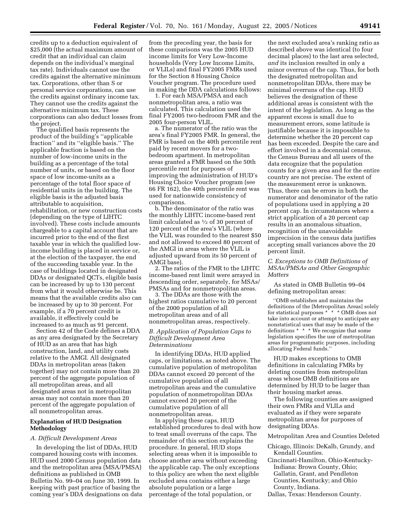credits up to a deduction equivalent of \$25,000 (the actual maximum amount of credit that an individual can claim depends on the individual's marginal tax rate). Individuals cannot use the credits against the alternative minimum tax. Corporations, other than S or personal service corporations, can use the credits against ordinary income tax. They cannot use the credits against the alternative minimum tax. These corporations can also deduct losses from the project.

The qualified basis represents the product of the building's ''applicable fraction'' and its ''eligible basis.'' The applicable fraction is based on the number of low-income units in the building as a percentage of the total number of units, or based on the floor space of low income-units as a percentage of the total floor space of residential units in the building. The eligible basis is the adjusted basis attributable to acquisition, rehabilitation, or new construction costs (depending on the type of LIHTC involved). These costs include amounts chargeable to a capital account that are incurred prior to the end of the first taxable year in which the qualified lowincome building is placed in service or, at the election of the taxpayer, the end of the succeeding taxable year. In the case of buildings located in designated DDAs or designated QCTs, eligible basis can be increased by up to 130 percent from what it would otherwise be. This means that the available credits also can be increased by up to 30 percent. For example, if a 70 percent credit is available, it effectively could be increased to as much as 91 percent.

Section 42 of the Code defines a DDA as any area designated by the Secretary of HUD as an area that has high construction, land, and utility costs relative to the AMGI. All designated DDAs in metropolitan areas (taken together) may not contain more than 20 percent of the aggregate population of all metropolitan areas, and all designated areas not in metropolitan areas may not contain more than 20 percent of the aggregate population of all nonmetropolitan areas.

## **Explanation of HUD Designation Methodology**

#### *A. Difficult Development Areas*

In developing the list of DDAs, HUD compared housing costs with incomes. HUD used 2000 Census population data and the metropolitan area (MSA/PMSA) definitions as published in OMB Bulletin No. 99–04 on June 30, 1999. In keeping with past practice of basing the coming year's DDA designations on data

from the preceding year, the basis for these comparisons was the 2005 HUD income limits for Very Low-Income households (Very Low Income Limits, or VLILs) and final FY2005 FMRs used for the Section 8 Housing Choice Voucher program. The procedure used in making the DDA calculations follows:

1. For each MSA/PMSA and each nonmetropolitan area, a ratio was calculated. This calculation used the final FY2005 two-bedroom FMR and the 2005 four-person VLIL.

a. The numerator of the ratio was the area's final FY2005 FMR. In general, the FMR is based on the 40th percentile rent paid by recent movers for a twobedroom apartment. In metropolitan areas granted a FMR based on the 50th percentile rent for purposes of improving the administration of HUD's Housing Choice Voucher program (see 66 FR 162), the 40th percentile rent was used for nationwide consistency of comparisons.

b. The denominator of the ratio was the monthly LIHTC income-based rent limit calculated as 1⁄2 of 30 percent of 120 percent of the area's VLIL (where the VLIL was rounded to the nearest \$50 and not allowed to exceed 80 percent of the AMGI in areas where the VLIL is adjusted upward from its 50 percent of AMGI base).

2. The ratios of the FMR to the LIHTC income-based rent limit were arrayed in descending order, separately, for MSAs/ PMSAs and for nonmetropolitan areas.

3. The DDAs are those with the highest ratios cumulative to 20 percent of the 2000 population of all metropolitan areas and of all nonmetropolitan areas, respectively.

## *B. Application of Population Caps to Difficult Development Area Determinations*

In identifying DDAs, HUD applied caps, or limitations, as noted above. The cumulative population of metropolitan DDAs cannot exceed 20 percent of the cumulative population of all metropolitan areas and the cumulative population of nonmetropolitan DDAs cannot exceed 20 percent of the cumulative population of all nonmetropolitan areas.

In applying these caps, HUD established procedures to deal with how to treat small overruns of the caps. The remainder of this section explains the procedure. In general, HUD stops selecting areas when it is impossible to choose another area without exceeding the applicable cap. The only exceptions to this policy are when the next eligible excluded area contains either a large absolute population or a large percentage of the total population, or

the next excluded area's ranking ratio as described above was identical (to four decimal places) to the last area selected, *and* its inclusion resulted in only a minor overrun of the cap. Thus, for both the designated metropolitan and nonmetropolitan DDAs, there may be minimal overruns of the cap. HUD believes the designation of these additional areas is consistent with the intent of the legislation. As long as the apparent excess is small due to measurement errors, some latitude is justifiable because it is impossible to determine whether the 20 percent cap has been exceeded. Despite the care and effort involved in a decennial census, the Census Bureau and all users of the data recognize that the population counts for a given area and for the entire country are not precise. The extent of the measurement error is unknown. Thus, there can be errors in both the numerator and denominator of the ratio of populations used in applying a 20 percent cap. In circumstances where a strict application of a 20 percent cap results in an anomalous situation, recognition of the unavoidable imprecision in the census data justifies accepting small variances above the 20 percent limit.

### *C. Exceptions to OMB Definitions of MSAs/PMSAs and Other Geographic Matters*

As stated in OMB Bulletin 99–04 defining metropolitan areas:

''OMB establishes and maintains the definitions of the [Metropolitan Areas] solely for statistical purposes \* \* \* OMB does not take into account or attempt to anticipate any nonstatistical uses that may be made of the definitions \* \* \* We recognize that some legislation specifies the use of metropolitan areas for programmatic purposes, including allocating Federal funds.''

HUD makes exceptions to OMB definitions in calculating FMRs by deleting counties from metropolitan areas whose OMB definitions are determined by HUD to be larger than their housing market areas.

The following counties are assigned their own FMRs and VLILs and evaluated as if they were separate metropolitan areas for purposes of designating DDAs.

#### Metropolitan Area and Counties Deleted

- Chicago, Illinois: DeKalb, Grundy, and Kendall Counties.
- Cincinnati-Hamilton, Ohio-Kentucky-Indiana: Brown County, Ohio; Gallatin, Grant, and Pendleton Counties, Kentucky; and Ohio County, Indiana.
- Dallas, Texas: Henderson County.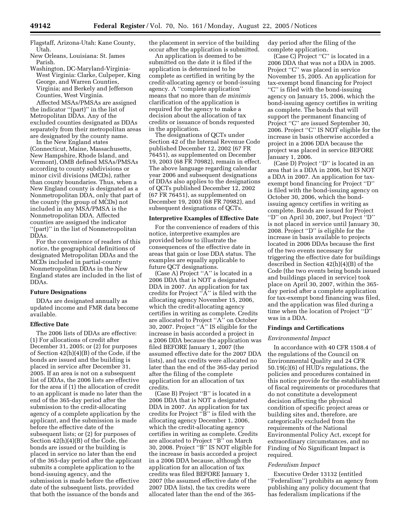Flagstaff, Arizona-Utah: Kane County, Utah.

New Orleans, Louisiana: St. James Parish.

Washington, DC-Maryland-Virginia-West Virginia: Clarke, Culpeper, King George, and Warren Counties, Virginia; and Berkely and Jefferson Counties, West Virginia.

Affected MSAs/PMSAs are assigned the indicator ''(part)'' in the list of Metropolitan DDAs. Any of the excluded counties designated as DDAs separately from their metropolitan areas are designated by the county name.

In the New England states (Connecticut, Maine, Massachusetts, New Hampshire, Rhode Island, and Vermont), OMB defined MSAs/PMSAs according to county subdivisions or minor civil divisions (MCDs), rather than county boundaries. Thus, when a New England county is designated as a Nonmetropolitan DDA, only that part of the county (the group of MCDs) not included in any MSA/PMSA is the Nonmetropolitan DDA. Affected counties are assigned the indicator ''(part)'' in the list of Nonmetropolitan DDAs.

For the convenience of readers of this notice, the geographical definitions of designated Metropolitan DDAs and the MCDs included in partial-county Nonmetropolitan DDAs in the New England states are included in the list of DDAs.

## **Future Designations**

DDAs are designated annually as updated income and FMR data become available.

### **Effective Date**

The 2006 lists of DDAs are effective: (1) For allocations of credit after December 31, 2005; or (2) for purposes of Section 42(h)(4)(B) of the Code, if the bonds are issued and the building is placed in service after December 31, 2005. If an area is not on a subsequent list of DDAs, the 2006 lists are effective for the area if (1) the allocation of credit to an applicant is made no later than the end of the 365-day period after the submission to the credit-allocating agency of a complete application by the applicant, and the submission is made before the effective date of the subsequent lists; or (2) for purposes of Section 42(h)(4)(B) of the Code, the bonds are issued or the building is placed in service no later than the end of the 365-day period after the applicant submits a complete application to the bond-issuing agency, and the submission is made before the effective date of the subsequent lists, provided that both the issuance of the bonds and

the placement in service of the building occur after the application is submitted.

An application is deemed to be submitted on the date it is filed if the application is determined to be complete as certified in writing by the credit-allocating agency or bond-issuing agency. A ''complete application'' means that no more than *de minimis* clarification of the application is required for the agency to make a decision about the allocation of tax credits or issuance of bonds requested in the application.

The designations of QCTs under Section 42 of the Internal Revenue Code published December 12, 2002 (67 FR 76451), as supplemented on December 19, 2003 (68 FR 70982), remain in effect. The above language regarding calendar year 2006 and subsequent designations of DDAs also applies to the designations of QCTs published December 12, 2002 (67 FR 76451), as supplemented on December 19, 2003 (68 FR 70982), and subsequent designations of QCTs.

#### **Interpretive Examples of Effective Date**

For the convenience of readers of this notice, interpretive examples are provided below to illustrate the consequences of the effective date in areas that gain or lose DDA status. The examples are equally applicable to future QCT designations.

(Case A) Project ''A'' is located in a 2006 DDA that is NOT a designated DDA in 2007. An application for tax credits for Project  $\mathbb{R}^N$  is filed with the allocating agency November 15, 2006, which the credit-allocating agency certifies in writing as complete. Credits are allocated to Project ''A'' on October 30, 2007. Project ''A'' IS eligible for the increase in basis accorded a project in a 2006 DDA because the application was filed BEFORE January 1, 2007 (the assumed effective date for the 2007 DDA lists), and tax credits were allocated no later than the end of the 365-day period after the filing of the complete application for an allocation of tax credits.

(Case B) Project ''B'' is located in a 2006 DDA that is NOT a designated DDA in 2007. An application for tax credits for Project ''B'' is filed with the allocating agency December 1, 2006, which the credit-allocating agency certifies in writing as complete. Credits are allocated to Project ''B'' on March 30, 2008. Project ''B'' IS NOT eligible for the increase in basis accorded a project in a 2006 DDA because, although the application for an allocation of tax credits was filed BEFORE January 1, 2007 (the assumed effective date of the 2007 DDA lists), the tax credits were allocated later than the end of the 365day period after the filing of the complete application.

(Case C) Project ''C'' is located in a 2006 DDA that was not a DDA in 2005. Project "C" was placed in service November 15, 2005. An application for tax-exempt bond financing for Project ''C'' is filed with the bond-issuing agency on January 15, 2006, which the bond-issuing agency certifies in writing as complete. The bonds that will support the permanent financing of Project "C" are issued September 30, 2006. Project ''C'' IS NOT eligible for the increase in basis otherwise accorded a project in a 2006 DDA because the project was placed in service BEFORE January 1, 2006.

(Case D) Project ''D'' is located in an area that is a DDA in 2006, but IS NOT a DDA in 2007. An application for taxexempt bond financing for Project ''D'' is filed with the bond-issuing agency on October 30, 2006, which the bondissuing agency certifies in writing as complete. Bonds are issued for Project ''D'' on April 30, 2007, but Project ''D'' is not placed in service until January 30, 2008. Project ''D'' is eligible for the increase in basis available to projects located in 2006 DDAs because the first of the two events necessary for triggering the effective date for buildings described in Section 42(h)(4)(B) of the Code (the two events being bonds issued and buildings placed in service) took place on April 30, 2007, within the 365 day period after a complete application for tax-exempt bond financing was filed, and the application was filed during a time when the location of Project ''D'' was in a DDA.

## **Findings and Certifications**

#### *Environmental Impact*

In accordance with 40 CFR 1508.4 of the regulations of the Council on Environmental Quality and 24 CFR 50.19(c)(6) of HUD's regulations, the policies and procedures contained in this notice provide for the establishment of fiscal requirements or procedures that do not constitute a development decision affecting the physical condition of specific project areas or building sites and, therefore, are categorically excluded from the requirements of the National Environmental Policy Act, except for extraordinary circumstances, and no Finding of No Significant Impact is required.

### *Federalism Impact*

Executive Order 13132 (entitled ''Federalism'') prohibits an agency from publishing any policy document that has federalism implications if the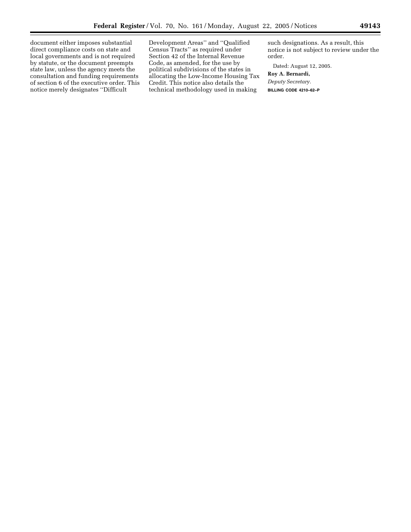document either imposes substantial direct compliance costs on state and local governments and is not required by statute, or the document preempts state law, unless the agency meets the consultation and funding requirements of section 6 of the executive order. This notice merely designates ''Difficult

Development Areas'' and ''Qualified Census Tracts'' as required under Section 42 of the Internal Revenue Code, as amended, for the use by political subdivisions of the states in allocating the Low-Income Housing Tax Credit. This notice also details the technical methodology used in making

such designations. As a result, this notice is not subject to review under the order.

Dated: August 12, 2005.

**Roy A. Bernardi,**  *Deputy Secretary.* **BILLING CODE 4210–62–P** e.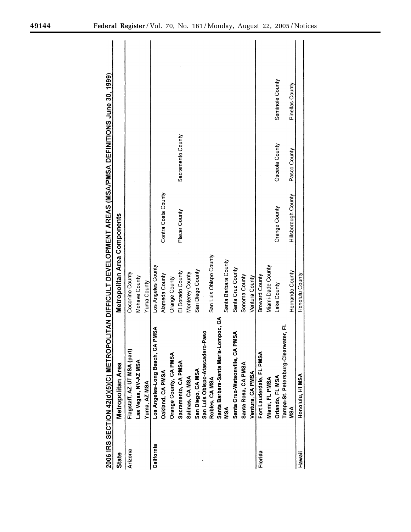|            | 2006 IRS SECTION 42(d)(5)(C) METROP  | <b>DUITAN DIFFICULT DEVELOPMENT AREAS (MSA/PMSA DEFINITIONS June 30, 1999)</b> |                            |                   |                 |
|------------|--------------------------------------|--------------------------------------------------------------------------------|----------------------------|-------------------|-----------------|
| State      | Metropolitan Area                    | Metropolitan Area Components                                                   |                            |                   |                 |
| Arizona    | Flagstaff, AZ-UT MSA (part)          | Coconino County                                                                |                            |                   |                 |
|            | Las Vegas, NV-AZ MSA                 | Mohave County                                                                  |                            |                   |                 |
|            | Yuma, AZ MSA                         | Yuma County                                                                    |                            |                   |                 |
| California | PMSA<br>Los Angeles-Long Beach, CA   | Los Angeles County                                                             |                            |                   |                 |
|            | Oakland, CA PMSA                     | Alameda County                                                                 | Contra Costa County        |                   |                 |
|            | Orange County, CA PMSA               | Orange County                                                                  |                            |                   |                 |
|            | Sacramento, CA PMSA                  | El Dorado County                                                               | Placer County              | Sacramento County |                 |
|            | Salinas, CA MSA                      | Monterey County                                                                |                            |                   |                 |
|            | San Diego, CA MSA                    | San Diego County                                                               |                            |                   |                 |
|            | San Luis Obispo-Atascadero-Paso      |                                                                                |                            |                   |                 |
|            | Robles, CA MSA                       | San Luis Obispo County                                                         |                            |                   |                 |
|            | Santa Barbara-Santa Maria-Lompoc, CA |                                                                                |                            |                   |                 |
|            | ៵៓                                   | Santa Barbara County                                                           |                            |                   |                 |
|            | Santa Cruz-Watsonville, CA PMSA      | Santa Cruz County                                                              |                            |                   |                 |
|            | Santa Rosa, CA PMSA                  | Sonoma County                                                                  |                            |                   |                 |
|            | Ventura, CA PMSA                     | Ventura County                                                                 |                            |                   |                 |
| Florida    | Fort Lauderdale, FL PMSA             | <b>Broward County</b>                                                          |                            |                   |                 |
|            | Miami, FL PMSA                       | Miami-Dade County                                                              |                            |                   |                 |
|            | Orlando, FL MSA                      | Lake County                                                                    | Orange County              | Osceola County    | Seminole County |
|            | Tampa-St. Petersburg-Clearwater, FL  |                                                                                |                            |                   |                 |
|            | MSA                                  | Hernando County                                                                | <b>Hillsborough County</b> | Pasco County      | Pinellas County |
| Hawaii     | Honolulu, HI MSA                     | Honolulu County                                                                |                            |                   |                 |

Ξ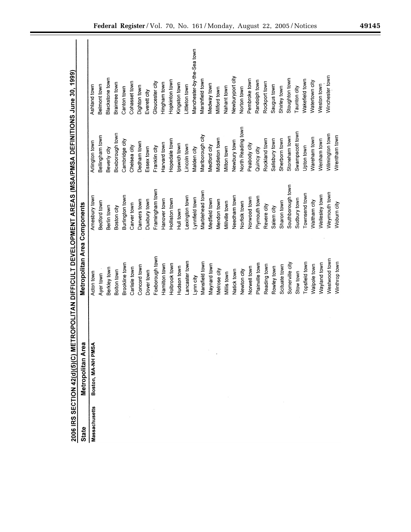|               | 2006 IRS SECTION 42(d)(5)(C) MET | ROPOLITAN DIFFICULT DEVELOPMENT AREAS (MSA/PMSA DEFINITIONS June 30, 1999) |                   |                    |                            |
|---------------|----------------------------------|----------------------------------------------------------------------------|-------------------|--------------------|----------------------------|
| <b>State</b>  | Metropolitan Area                | Metropolitan Area Components                                               |                   |                    |                            |
| Massachusetts | Boston, MA-NH PMSA               | Acton town                                                                 | Amesbury town     | Arlington town     | Ashland town               |
|               |                                  | Ayer town                                                                  | Bedford town      | Bellingham town    | Belmont town               |
|               |                                  | Berkley town                                                               | Berlin town       | Beverly city       | Blackstone town            |
|               |                                  | Bolton town                                                                | Boston city       | Boxborough town    | Braintree town             |
|               |                                  | Brookline town                                                             | Burlington town   | Cambridge city     | Canton town                |
|               |                                  | Carlisle town                                                              | Carver town       | Chelsea city       | Cohasset town              |
|               |                                  | Concord town                                                               | Danvers town      | Dedham town        | Dighton town               |
|               |                                  | Dover town                                                                 | Duxbury town      | Essex town         | Everett city               |
|               |                                  | Foxborough town                                                            | Framingham town   | Franklin city      | Gloucester city            |
|               |                                  | Hamilton town                                                              | Hanover town      | Harvard town       | Hingham town               |
|               |                                  | Holbrook town                                                              | Holliston town    | Hopedale town      | Hopkinton town             |
|               |                                  | Hudson town                                                                | Hull town         | pswich town        | Kingston town              |
|               |                                  | Lancaster town                                                             | Lexington town    | incoln town        | Littleton town             |
|               |                                  | Lynn city                                                                  | Lynnfield town    | Vlaiden city       | Manchester-by-the-Sea town |
|               |                                  | Mansfield town                                                             | Marblehead town   | Marlborough city   | Marshfield town            |
|               |                                  | Maynard town                                                               | Medfield town     | Medford city       | Medway town                |
|               |                                  | Melrose city                                                               | Mendon town       | Middleton town     | Milford town               |
|               |                                  | Millis town                                                                | Millville town    | Milton town        | Nahant town                |
|               |                                  | Natick town                                                                | Needham town      | Newbury town       | Newburyport city           |
|               |                                  | Newton city                                                                | Norfolk town      | North Reading town | Norton town                |
|               |                                  | Norwell town                                                               | Norwood town      | Peabody city       | Pembroke town              |
|               |                                  | Plainville town                                                            | Plymouth town     | Quincy city        | Randolph town              |
|               |                                  | Reading town                                                               | Revere city       | Rockland town      | Rockport town              |
|               |                                  | Rowley town                                                                | Salem city        | Salisbury town     | Saugus town                |
|               |                                  | Scituate town                                                              | Sharon town       | Sherborn town      | Shirley town               |
|               |                                  | Somerville city                                                            | Southborough town | Stoneham town      | Stoughton town             |
|               |                                  | Stow town                                                                  | Sudbury town      | Swampscott town    | Taunton city               |
|               |                                  | Topsfield town                                                             | Townsend town     | Upton town         | Wakefield town             |
|               |                                  | Walpole town                                                               | Waltham city      | Wareham town       | Natertown city             |
|               |                                  | Wayland town                                                               | Wellesley town    | Wenham town        | Weston town                |
|               |                                  | Westwood town                                                              | Weymouth town     | Wilmington town    | Winchester town            |
|               |                                  | Winthrop town                                                              | Woburn city       | Wrentham town      |                            |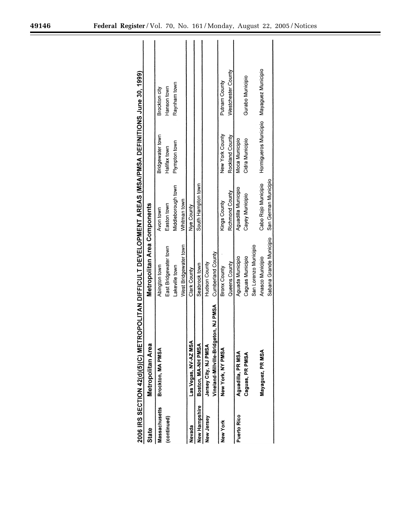|               | 2006 IRS SECTION 42(d)(5)(C) MET      | ROPOLITAN DIFFICULT DEVELOPMENT AREAS (MSA/PMSA DEFINITIONS June 30, 1999) |                      |                                          |                    |
|---------------|---------------------------------------|----------------------------------------------------------------------------|----------------------|------------------------------------------|--------------------|
| State         | Metropolitan Area                     | Metropolitan Area Components                                               |                      |                                          |                    |
| Massachusetts | Brockton, MA PMSA                     | Abington town                                                              | Avon town            | Bridgewater town                         | Brockton city      |
| (continued)   |                                       | East Bridgewater town                                                      | Easton town          | Halifax town                             | Hanson town        |
|               |                                       | Lakeville town                                                             | Middleborough town   | Plympton town                            | Raynham town       |
|               |                                       | West Bridgewater town                                                      | Whitman town         |                                          |                    |
| Nevada        | Las Vegas, NV-AZ MSA                  | Clark County                                                               | Nye County           |                                          |                    |
| New Hampshire | Boston, MA-NH PMSA                    | Seabrook town                                                              | South Hampton town   |                                          |                    |
| New Jersey    | Jersey City, NJ PMSA                  | Hudson County                                                              |                      |                                          |                    |
|               | Vineland-Millville-Bridgeton, NJ PMSA | Cumberland County                                                          |                      |                                          |                    |
| New York      | New York, NY PMSA                     | <b>Bronx County</b>                                                        | Kings County         | New York County                          | Putnam County      |
|               |                                       | Queens County                                                              | Richmond County      | Rockland County                          | Westchester County |
| Puerto Rico   | Aguadilla, PR MSA                     | Aguada Municipio                                                           | Aguadilla Municipio  | Moca Municipio                           |                    |
|               | Caguas, PR PMSA                       | Caguas Municipio                                                           | Cayey Municipio      | Cidra Municipio                          | Gurabo Municipio   |
|               |                                       | San Lorenzo Municipio                                                      |                      |                                          |                    |
|               | Mayaguez, PR MSA                      | Anasco Municipio                                                           | Cabo Rojo Municipio  | Hormigueros Municipio Mayaguez Municipio |                    |
|               |                                       | Sabana Grande Municipio                                                    | San German Municipio |                                          |                    |
|               |                                       |                                                                            |                      |                                          |                    |

-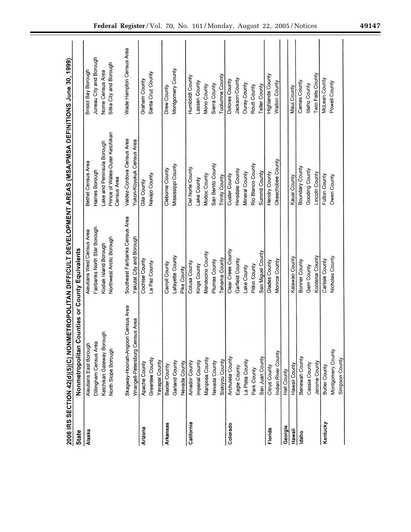|                 | 2006 IRS SECTION 42(d)(5)(C) NONMETROPOLITAN DIFFICULT DEVELOPMENT AREAS (MSA/PMSA DEFINITIONS June 30, 1999) |                                 |                                                |                          |
|-----------------|---------------------------------------------------------------------------------------------------------------|---------------------------------|------------------------------------------------|--------------------------|
| <b>State</b>    | Nonmetropolitan Counties or County Equivalents                                                                |                                 |                                                |                          |
| Alaska          | Aleutians East Borough                                                                                        | Aleutians West Census Area      | Bethel Census Area                             | Bristol Bay Borough      |
|                 | Dillingham Census Area                                                                                        | Fairbanks North Star Borough    | Haines Borough                                 | Juneau City and Borough  |
|                 | Ketchikan Gateway Borough                                                                                     | Kodiak Island Borough           | Lake and Peninsula Borough                     | Nome Census Area         |
|                 | North Slope Borough                                                                                           | Northwest Arctic Borough        | Prince of Wales-Outer Ketchikan<br>Census Area | Sitka City and Borough   |
|                 | Skagway-Hoonah-Angoon Census Area                                                                             | Southeast Fairbanks Census Area | Valdez-Cordova Census Area                     | Wade Hampton Census Area |
|                 | sus Area<br>Wrangell-Petersburg Cen                                                                           | Yakutat City and Borough        | Yukon-Koyukuk Census Area                      |                          |
| Arizona         | Apache County                                                                                                 | Cochise County                  | Gila County                                    | Graham County            |
|                 | Greenlee County                                                                                               | La Paz County                   | Navajo County                                  | Santa Cruz County        |
|                 | Yavapai County                                                                                                |                                 |                                                |                          |
| <b>Arkansas</b> | Baxter County                                                                                                 | Carroll County                  | Cleburne County                                | Drew County              |
|                 | Garland County                                                                                                | Lafayette County                | Mississippi County                             | Montgomery County        |
|                 | Nevada County                                                                                                 | Pike County                     |                                                |                          |
| California      | Amador County                                                                                                 | Colusa County                   | Del Norte County                               | Humboldt County          |
|                 | Imperial County                                                                                               | Kings County                    | Lake County                                    | Lassen County            |
|                 | Mariposa County                                                                                               | Mendocino County                | Modoc County                                   | Mono County              |
|                 | Nevada County                                                                                                 | Plumas County                   | San Benito County                              | Sierra County            |
|                 | Siskiyou County                                                                                               | Tehama County                   | <b>Trinity County</b>                          | Tuolumne County          |
| Colorado        | Archuleta County                                                                                              | Clear Creek County              | Custer County                                  | Dolores County           |
|                 | Eagle County                                                                                                  | Garfield County                 | Hinsdale County                                | Jackson County           |
|                 | La Plata County                                                                                               | Lake County                     | Mineral County                                 | <b>Ouray County</b>      |
|                 | Park County                                                                                                   | Pitkin County                   | Rio Blanco County                              | Routt County             |
|                 | San Juan County                                                                                               | San Miguel County               | Summit County                                  | <b>Teller County</b>     |
| Florida         | Citrus County                                                                                                 | Glades County                   | Hendry County                                  | Highlands County         |
|                 | Indian River County                                                                                           | Monroe County                   | Okeechobee County                              | Walton County            |
| Georgia         | Hall County                                                                                                   |                                 |                                                |                          |
| Hawaii          | Hawaii County                                                                                                 | Kalawao County                  | Kauai County                                   | Maui County              |
| Idaho           | Benewah County                                                                                                | Bonner County                   | Boundary County                                | Camas County             |
|                 | Cassia County                                                                                                 | Gem County                      | Gooding County                                 | Idaho County             |
|                 | Jerome County                                                                                                 | Kootenai County                 | Lincoln County                                 | Twin Falls County        |
| Kentucky        | Butler County                                                                                                 | Carlisle County                 | Fulton County                                  | McLean County            |
|                 | Montgomery County                                                                                             | Nicholas County                 | Owen County                                    | Powell County            |
|                 | Simpson County                                                                                                |                                 |                                                |                          |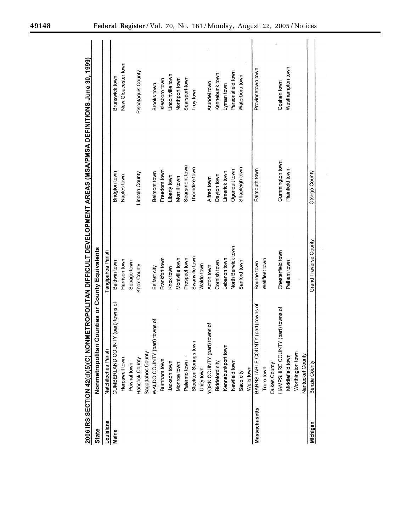| 49148 | Federal Register/Vol. 70, No. 161/Monday, August 22, 2005/Notices |  |  |
|-------|-------------------------------------------------------------------|--|--|
|       |                                                                   |  |  |

|               | 2006 IRS SECTION 42(d)(5)(C) NONMETROPOLITAN DIFFICULT DEVELOPMENT AREAS (MSA/PMSA DEFINITIONS June 30, 1999) |                                |                 |                     |
|---------------|---------------------------------------------------------------------------------------------------------------|--------------------------------|-----------------|---------------------|
| <b>State</b>  | Nonmetropolitan                                                                                               | Counties or County Equivalents |                 |                     |
| Louisiana     | Natchitoches Parish                                                                                           | Tangipahoa Parish              |                 |                     |
| Maine         | CUMBERLAND COUNTY (part) towns of                                                                             | Baldwin town                   | Bridgton town   | Brunswick town      |
|               | Harpswell town                                                                                                | Harrison town                  | Naples town     | New Gloucester town |
|               | Pownal town                                                                                                   | Sebago town                    |                 |                     |
|               | Hancock County                                                                                                | Knox County                    | Lincoln County  | Piscataquis County  |
|               | Sagadahoc County                                                                                              |                                |                 |                     |
|               | WALDO COUNTY (part) towns of                                                                                  | Belfast city                   | Belmont town    | Brooks town         |
|               | Burnham town                                                                                                  | Frankfort town                 | Freedom town    | Islesboro town      |
|               | Jackson town                                                                                                  | Knox town                      | Liberty town    | Lincolnville town   |
|               | Monroe town                                                                                                   | Montville town                 | Morrill town    | Northport town      |
|               | Palermo town                                                                                                  | Prospect town                  | Searsmont town  | Searsport town      |
|               | Stockton Springs town                                                                                         | Swanville town                 | Thorndike town  | Troy town           |
|               | Unity town                                                                                                    | Waldo town                     |                 |                     |
|               | YORK COUNTY (part) towns of                                                                                   | Acton town                     | Alfred town     | Arundel town        |
|               | Biddeford city                                                                                                | Cornish town                   | Dayton town     | Kennebunk town      |
|               | Kennebunkport town                                                                                            | Lebanon town                   | Limerick town   | Lyman town          |
|               | Newfield town                                                                                                 | North Berwick town             | Ogunquit town   | Parsonsfield town   |
|               | Saco city                                                                                                     | Sanford town                   | Shapleigh town  | Waterboro town      |
|               | Wells town                                                                                                    |                                |                 |                     |
| Massachusetts | IY (part) towns of<br>BARNSTABLE COUNT                                                                        | Bourne town                    | Falmouth town   | Provincetown town   |
|               | Truro town                                                                                                    | Wellfleet town                 |                 |                     |
|               | Dukes County                                                                                                  |                                |                 |                     |
|               | (part) towns of<br>HAMPSHIRE COUNTY                                                                           | Chesterfield town              | Cummington town | Goshen town         |
|               | Middlefield town                                                                                              | Pelham town                    | Plainfield town | Westhampton town    |
|               | Worthington town                                                                                              |                                |                 |                     |
|               | Nantucket County                                                                                              |                                |                 |                     |
| Michigan      | Benzie County                                                                                                 | Grand Traverse County          | Otsego County   |                     |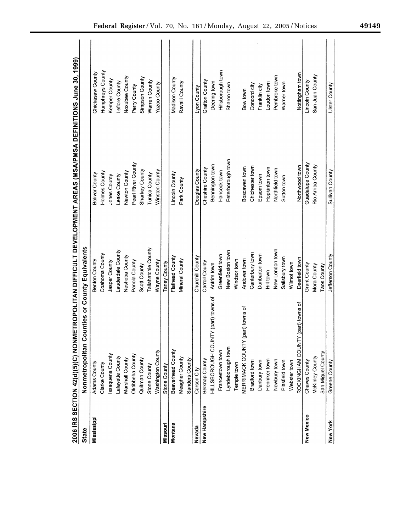|               | 2006 IRS SECTION 42(d)(5)(C) NON               |                     | METROPOLITAN DIFFICULT DEVELOPMENT AREAS (WSA/PMSA DEFINITIONS June 30, 1999) |                   |
|---------------|------------------------------------------------|---------------------|-------------------------------------------------------------------------------|-------------------|
| State         | Nonmetropolitan Counties or County Equivalents |                     |                                                                               |                   |
| Mississippi   | Adams County                                   | Benton County       | Bolivar County                                                                | Chickasaw County  |
|               | Clarke County                                  | Coahoma County      | Holmes County                                                                 | Humphreys County  |
|               | ssaquena County                                | Jasper County       | Jones County                                                                  | Kemper County     |
|               | Lafayette County                               | Lauderdale County   | Leake County                                                                  | Leflore County    |
|               | Marshall County                                | Neshoba County      | Newton County                                                                 | Noxubee County    |
|               | Oktibbeha County                               | Panola County       | Pearl River County                                                            | Perry County      |
|               | Quitman County                                 | Scott County        | Sharkey County                                                                | Simpson County    |
|               | Stone County                                   | Tallahatchie County | Tunica County                                                                 | Warren County     |
|               | Washington County                              | Wayne County        | Winston County                                                                | Yazoo County      |
| Missouri      | Stone County                                   | Taney County        |                                                                               |                   |
| Montana       | Beaverhead County                              | Flathead County     | Lincoln County                                                                | Madison County    |
|               | Meagher County                                 | Mineral County      | Park County                                                                   | Ravalli County    |
|               | Sanders County                                 |                     |                                                                               |                   |
| Nevada        | Carson City                                    | Churchill County    | Douglas County                                                                | Lyon County       |
| New Hampshire | Belknap County                                 | Carroll County      | Cheshire County                                                               | Grafton County    |
|               | HILLSBOROUGH COUNTY (part) towns of            | Antrim town         | Bennington town                                                               | Deering town      |
|               | Francestown town                               | Greenfield town     | Hancock town                                                                  | Hillsborough town |
|               | Lyndeborough town                              | New Boston town     | Peterborough town                                                             | Sharon town       |
|               | Temple town                                    | Windsor town        |                                                                               |                   |
|               | (part) towns of<br>MERRIMACK COUNTY            | Andover town        | Boscawen town                                                                 | Bow town          |
|               | Bradford town                                  | Canterbury town     | Chichester town                                                               | Concord city      |
|               | Danbury town                                   | Dunbarton town      | Epsom town                                                                    | Franklin city     |
|               | Henniker town                                  | Hill town           | Hopkinton town                                                                | Loudon town       |
|               | Newbury town                                   | New London town     | Northfield town                                                               | Pembroke town     |
|               | Pittsfield town                                | Salisbury town      | Sutton town                                                                   | Warner town       |
|               | Webster town                                   | Wilmot town         |                                                                               |                   |
|               | Y (part) towns of<br>ROCKINGHAM COUNT          | Deerfield town      | Northwood town                                                                | Nottingham town   |
| New Mexico    | Chaves County                                  | Grant County        | Guadalupe County                                                              | Lincoln County    |
|               | McKinley County                                | Mora County         | Rio Arriba County                                                             | San Juan County   |
|               | San Miguel County                              | Taos County         |                                                                               |                   |
| New York      | Greene County                                  | Jefferson County    | Sullivan County                                                               | Ulster County     |
|               |                                                |                     |                                                                               |                   |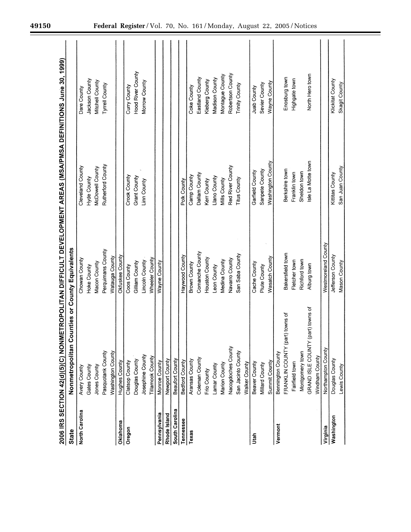|                | 2006 IRS SECTION 42(d)(5)(C) NON               |                       | METROPOLITAN DIFFICULT DEVELOPMENT AREAS (MSA/PMSA DEFINITIONS June 30, 1999) |                       |
|----------------|------------------------------------------------|-----------------------|-------------------------------------------------------------------------------|-----------------------|
| <b>State</b>   | Nonmetropolitan Counties or County Equivalents |                       |                                                                               |                       |
| North Carolina | Avery County                                   | Chowan County         | Cleveland County                                                              | Dare County           |
|                | Gates County                                   | Hoke County           | Hyde County                                                                   | Jackson County        |
|                | Jones County                                   | Macon County          | McDowell County                                                               | Mitchell County       |
|                | Pasquotank County                              | Perquimans County     | Rutherford County                                                             | Tyrrell County        |
|                | Washington County                              | Watauga County        |                                                                               |                       |
| Oklahoma       | Hughes County                                  | Okfuskee County       |                                                                               |                       |
| Oregon         | Clatsop County                                 | Coos County           | Crook County                                                                  | Curry County          |
|                | Douglas County                                 | Gilliam County        | Grant County                                                                  | Hood River County     |
|                | Josephine County                               | Lincoln County        | Linn County                                                                   | Morrow County         |
|                | Tillamook County                               | Wheeler County        |                                                                               |                       |
| Pennsylvania   | Monroe County                                  | Wayne County          |                                                                               |                       |
| Rhode Island   | Newport County                                 |                       |                                                                               |                       |
| South Carolina | Beaufort County                                |                       |                                                                               |                       |
| Tennessee      | Bedford County                                 | Haywood County        | Polk County                                                                   |                       |
| Texas          | Aransas County                                 | Brown County          | Camp County                                                                   | Coke County           |
|                | Coleman County                                 | Comanche County       | Dallam County                                                                 | Eastland County       |
|                | Frio County                                    | Houston County        | Kerr County                                                                   | Kleberg County        |
|                | Lamar County                                   | Leon County           | Llano County                                                                  | Madison County        |
|                | Marion County                                  | Medina County         | Mills County                                                                  | Montague County       |
|                | Nacogdoches County                             | Navarro County        | Red River County                                                              | Robertson County      |
|                | San Jacinto County                             | San Saba County       | <b>Titus County</b>                                                           | <b>Trinity County</b> |
|                | Walker County                                  |                       |                                                                               |                       |
| Utah           | Beaver County                                  | Cache County          | Garfield County                                                               | Juab County           |
|                | <b>Millard County</b>                          | Piute County          | Sanpete County                                                                | Sevier County         |
|                | Summit County                                  | <b>Wasatch County</b> | Washington County                                                             | Wayne County          |
| Vermont        | Bennington County                              |                       |                                                                               |                       |
|                | FRANKLIN COUNTY (part) towns of                | Bakersfield town      | Berkshire town                                                                | Enosburg town         |
|                | Fairfield town                                 | Fletcher town         | Franklin town                                                                 | Highgate town         |
|                | Montgomery town                                | Richford town         | Sheldon town                                                                  |                       |
|                | (part) towns of<br>GRAND ISLE COUNTY           | Alburg town           | sle La Motte town                                                             | North Hero town       |
|                | Windham County                                 |                       |                                                                               |                       |
| Virginia       | Northampton County                             | Westmoreland County   |                                                                               |                       |
| Washington     | Douglas County                                 | Jefferson County      | Kittitas County                                                               | Klickitat County      |
|                | Lewis County                                   | Mason County          | San Juan County                                                               | Skagit County         |
|                |                                                |                       |                                                                               |                       |

 $\equiv$